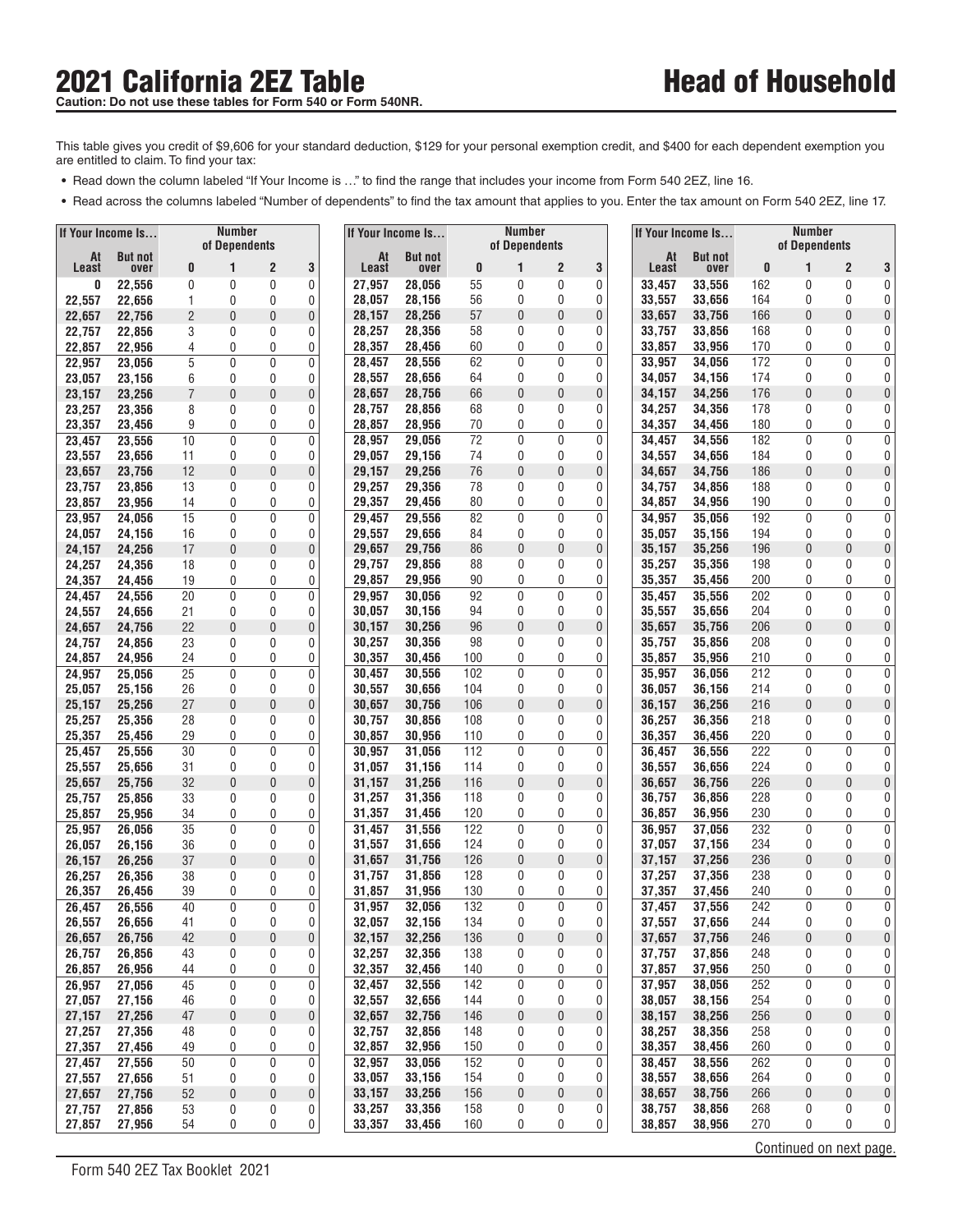This table gives you credit of \$9,606 for your standard deduction, \$129 for your personal exemption credit, and \$400 for each dependent exemption you are entitled to claim. To find your tax: re entitled to claim. To find your tax:<br>• Read down the column labeled "If Your Income is …" to find the range that includes your income from Form 540 2EZ, line 16.

- 
- Read across the columns labeled "Number of dependents" to find the tax amount that applies to you. Enter the tax amount on Form 540 2EZ, line 17.

| If Your Income Is |                  |                     | <b>Number</b> |                  |        |                  | If Your Income Is |            | Number              |                |                |                  | If Your Income Is |            | Number                  |                   |                                  |
|-------------------|------------------|---------------------|---------------|------------------|--------|------------------|-------------------|------------|---------------------|----------------|----------------|------------------|-------------------|------------|-------------------------|-------------------|----------------------------------|
| At                | <b>But not</b>   |                     | of Dependents |                  |        | At               | <b>But not</b>    |            | of Dependents       |                |                | At               | <b>But not</b>    |            | of Dependents           |                   |                                  |
| <b>Least</b>      | over             | 0                   |               | 2                | 3      | Least            | over              | 0          | 1                   | $\overline{c}$ | 3              | Least            | over              | 0          | 1                       | $\overline{2}$    | 3                                |
| 0                 | 22,556           | 0                   | 0             | 0                | 0      | 27,957           | 28,056            | 55         | 0                   | 0              | 0              | 33,457           | 33,556            | 162        | 0                       | 0                 | 0                                |
| 22,557            | 22,656           | 1                   | 0             | 0                | 0      | 28,057<br>28,157 | 28,156<br>28,256  | 56<br>57   | 0<br>0              | 0<br>0         | 0<br>0         | 33,557<br>33,657 | 33,656            | 164        | 0<br>0                  | 0<br>0            | 0                                |
| 22,657<br>22,757  | 22,756<br>22,856 | $\overline{2}$<br>3 | 0<br>0        | 0<br>0           | 0<br>0 | 28,257           | 28,356            | 58         | 0                   | 0              | 0              | 33,757           | 33,756<br>33,856  | 166<br>168 | 0                       | 0                 | 0<br>0                           |
| 22,857            | 22,956           | 4                   | 0             | 0                | 0      | 28,357           | 28,456            | 60         | 0                   | 0              | 0              | 33,857           | 33,956            | 170        | 0                       | 0                 | 0                                |
| 22,957            | 23,056           | 5                   | 0             | $\mathbf{0}$     | 0      | 28,457           | 28,556            | 62         | 0                   | 0              | 0              | 33,957           | 34,056            | 172        | 0                       | 0                 | 0                                |
| 23,057            | 23,156           | 6                   | 0             | 0                | 0      | 28,557           | 28,656            | 64         | 0                   | 0              | 0              | 34,057           | 34,156            | 174        | 0                       | 0                 | 0                                |
| 23,157            | 23,256           | $\overline{7}$      | 0             | $\mathbf 0$      | 0      | 28,657           | 28,756            | 66         | 0                   | 0              | 0              | 34,157           | 34,256            | 176        | 0                       | 0                 | 0                                |
| 23,257            | 23,356           | 8                   | 0             | 0                | 0      | 28,757           | 28.856            | 68         | 0                   | 0              | 0              | 34,257           | 34.356            | 178        | 0                       | 0                 | 0                                |
| 23,357            | 23,456           | 9                   | 0             | 0                | 0      | 28,857           | 28,956            | 70         | 0                   | 0              | 0              | 34,357           | 34,456            | 180        | 0                       | 0                 | 0                                |
| 23,457            | 23,556           | 10                  | 0             | 0                | 0      | 28,957           | 29,056            | 72         | $\mathbf{0}$        | 0              | 0              | 34,457           | 34,556            | 182        | 0                       | 0                 | 0                                |
| 23,557            | 23,656           | 11                  | 0             | 0                | 0      | 29,057           | 29,156            | 74         | 0                   | 0              | 0              | 34,557           | 34,656            | 184        | 0                       | 0                 | 0                                |
| 23,657            | 23,756           | 12                  | 0             | $\theta$         | 0      | 29,157           | 29,256            | 76         | 0                   | 0              | 0              | 34,657           | 34,756            | 186        | 0                       | 0                 | 0                                |
| 23,757            | 23,856           | 13                  | 0             | 0                | 0      | 29,257           | 29,356            | 78         | 0                   | 0              | 0              | 34,757           | 34,856            | 188        | 0                       | 0                 | 0                                |
| 23,857            | 23,956           | 14<br>15            | 0<br>0        | 0<br>$\mathbf 0$ | 0<br>0 | 29,357<br>29,457 | 29,456            | 80<br>82   | 0<br>0              | 0<br>0         | 0<br>0         | 34,857<br>34,957 | 34,956<br>35,056  | 190<br>192 | 0<br>0                  | 0<br>$\mathbf{0}$ | 0<br>0                           |
| 23,957<br>24,057  | 24,056<br>24,156 | 16                  | 0             | 0                | 0      | 29,557           | 29,556<br>29,656  | 84         | 0                   | 0              | 0              | 35,057           | 35,156            | 194        | 0                       | 0                 | 0                                |
| 24,157            | 24,256           | 17                  | 0             | 0                | 0      | 29,657           | 29,756            | 86         | $\mathbf{0}$        | 0              | 0              | 35,157           | 35,256            | 196        | 0                       | 0                 | 0                                |
| 24,257            | 24,356           | 18                  | 0             | 0                | 0      | 29,757           | 29,856            | 88         | 0                   | 0              | 0              | 35,257           | 35,356            | 198        | 0                       | 0                 | 0                                |
| 24,357            | 24,456           | 19                  | 0             | 0                | 0      | 29,857           | 29,956            | 90         | 0                   | 0              | 0              | 35,357           | 35,456            | 200        | 0                       | 0                 | 0                                |
| 24,457            | 24,556           | 20                  | 0             | 0                | 0      | 29.957           | 30,056            | 92         | 0                   | 0              | 0              | 35,457           | 35,556            | 202        | 0                       | 0                 | 0                                |
| 24,557            | 24.656           | 21                  | 0             | 0                | 0      | 30,057           | 30,156            | 94         | 0                   | 0              | 0              | 35,557           | 35,656            | 204        | 0                       | 0                 | 0                                |
| 24,657            | 24,756           | 22                  | 0             | $\mathbf 0$      | 0      | 30,157           | 30,256            | 96         | 0                   | 0              | 0              | 35,657           | 35,756            | 206        | 0                       | 0                 | 0                                |
| 24,757            | 24,856           | 23                  | 0             | 0                | 0      | 30,257           | 30,356            | 98         | 0                   | 0              | 0              | 35,757           | 35,856            | 208        | 0                       | 0                 | 0                                |
| 24,857            | 24,956           | 24                  | 0             | 0                | 0      | 30,357           | 30,456            | 100        | 0                   | 0              | 0              | 35,857           | 35,956            | 210        | 0                       | 0                 | 0                                |
| 24,957            | 25,056           | 25                  | 0             | 0                | 0      | 30,457           | 30,556            | 102        | $\mathbf{0}$        | 0              | 0              | 35,957           | 36,056            | 212        | 0                       | 0                 | 0                                |
| 25,057            | 25,156           | 26<br>27            | 0             | 0<br>0           | 0      | 30,557           | 30,656            | 104<br>106 | 0<br>$\overline{0}$ | 0              | 0              | 36,057           | 36,156            | 214        | 0                       | 0<br>0            | 0                                |
| 25,157<br>25,257  | 25,256<br>25,356 | 28                  | 0<br>0        | 0                | 0<br>0 | 30,657<br>30,757 | 30,756<br>30,856  | 108        | 0                   | 0<br>0         | 0<br>0         | 36,157<br>36,257 | 36,256<br>36,356  | 216<br>218 | 0<br>0                  | 0                 | 0<br>0                           |
| 25,357            | 25,456           | 29                  | 0             | 0                | 0      | 30,857           | 30,956            | 110        | 0                   | 0              | 0              | 36,357           | 36,456            | 220        | 0                       | 0                 | 0                                |
| 25,457            | 25,556           | 30                  | 0             | $\mathbf 0$      | 0      | 30,957           | 31,056            | 112        | 0                   | $\mathbf 0$    | $\pmb{0}$      | 36,457           | 36,556            | 222        | 0                       | 0                 | 0                                |
| 25,557            | 25,656           | 31                  | 0             | 0                | 0      | 31,057           | 31,156            | 114        | 0                   | 0              | 0              | 36,557           | 36,656            | 224        | 0                       | 0                 | 0                                |
| 25,657            | 25,756           | 32                  | 0             | $\overline{0}$   | 0      | 31,157           | 31,256            | 116        | $\overline{0}$      | 0              | 0              | 36,657           | 36,756            | 226        | 0                       | 0                 | 0                                |
| 25,757            | 25,856           | 33                  | 0             | 0                | 0      | 31,257           | 31,356            | 118        | 0                   | 0              | 0              | 36,757           | 36,856            | 228        | 0                       | 0                 | 0                                |
| 25,857            | 25,956           | 34                  | 0             | 0                | 0      | 31,357           | 31,456            | 120        | 0                   | 0              | 0              | 36,857           | 36,956            | 230        | 0                       | 0                 | 0                                |
| 25,957            | 26,056           | 35                  | 0             | 0                | 0      | 31,457           | 31,556            | 122        | 0                   | 0              | 0              | 36.957           | 37,056            | 232        | 0                       | 0                 | 0                                |
| 26,057            | 26,156           | 36                  | 0             | 0                | 0      | 31,557           | 31,656            | 124        | 0                   | 0              | 0              | 37,057           | 37,156            | 234        | 0                       | 0                 | 0                                |
| 26,157            | 26,256           | 37                  | 0             | 0                | 0      | 31,657<br>31,757 | 31,756            | 126<br>128 | 0<br>0              | 0<br>0         | 0<br>0         | 37,157<br>37,257 | 37,256            | 236<br>238 | 0<br>0                  | 0<br>0            | 0<br>0                           |
| 26,257<br>26,357  | 26,356<br>26,456 | 38<br>39            | 0<br>0        | 0<br>0           | 0<br>0 | 31,857           | 31,856<br>31,956  | 130        | 0                   | 0              | 0              | 37,357           | 37,356<br>37,456  | 240        | 0                       | 0                 | $\vert 0 \vert$                  |
| 26,457            | 26,556           | 40                  | 0             | 0                | 0      | 31,957           | 32,056            | 132        | $\mathbf{0}$        | 0              | $\overline{0}$ | 37,457           | 37,556            | 242        | $\Omega$                | 0                 | $\overline{0}$                   |
| 26,557            | 26,656           | 41                  | 0             | 0                | 0      | 32,057           | 32,156            | 134        | 0                   | 0              | 0              | 37,557           | 37,656            | 244        | 0                       | 0                 | $\vert 0 \vert$                  |
| 26,657            | 26,756           | 42                  | 0             | $\pmb{0}$        | 0      | 32,157           | 32,256            | 136        | 0                   | $\pmb{0}$      | 0              | 37,657           | 37,756            | 246        | 0                       | $\pmb{0}$         | $\overline{0}$                   |
| 26,757            | 26,856           | 43                  | 0             | 0                | 0      | 32,257           | 32,356            | 138        | 0                   | 0              | 0              | 37,757           | 37,856            | 248        | 0                       | 0                 | 0                                |
| 26,857            | 26,956           | 44                  | 0             | 0                | 0      | 32,357           | 32,456            | 140        | 0                   | 0              | 0              | 37,857           | 37,956            | 250        | 0                       | 0                 | $\overline{0}$                   |
| 26,957            | 27,056           | 45                  | 0             | $\pmb{0}$        | 0      | 32,457           | 32,556            | 142        | 0                   | $\pmb{0}$      | 0              | 37,957           | 38,056            | 252        | 0                       | 0                 | $\overline{0}$                   |
| 27,057            | 27,156           | 46                  | 0             | 0                | 0      | 32,557           | 32,656            | 144        | 0                   | 0              | 0              | 38,057           | 38,156            | 254        | 0                       | 0                 | $\overline{0}$                   |
| 27,157            | 27,256           | 47                  | 0             | $\mathbf 0$      | 0      | 32,657           | 32,756            | 146        | 0                   | 0              | 0              | 38,157           | 38,256            | 256        | 0                       | $\pmb{0}$         | $\vert 0 \vert$                  |
| 27,257            | 27,356           | 48                  | 0             | 0                | 0      | 32,757           | 32,856            | 148        | 0                   | 0              | 0              | 38,257           | 38,356            | 258        | 0                       | 0                 | 0                                |
| 27,357            | 27,456           | 49                  | 0             | 0                | 0      | 32,857<br>32,957 | 32,956<br>33,056  | 150        | 0                   | 0              | 0              | 38,357           | 38,456            | 260        | 0                       | 0                 | $\boldsymbol{0}$                 |
| 27,457<br>27,557  | 27,556<br>27,656 | 50<br>51            | 0<br>0        | 0<br>0           | 0<br>0 | 33,057           | 33,156            | 152<br>154 | 0<br>0              | 0<br>0         | 0<br>0         | 38,457<br>38,557 | 38,556<br>38,656  | 262<br>264 | 0<br>0                  | 0<br>0            | $\overline{0}$<br>$\overline{0}$ |
| 27,657            | 27,756           | 52                  | 0             | $\bf{0}$         | 0      | 33,157           | 33,256            | 156        | 0                   | 0              | 0              | 38,657           | 38,756            | 266        | 0                       | $\boldsymbol{0}$  | $\mathbf 0$                      |
| 27,757            | 27,856           | 53                  | 0             | 0                | 0      | 33,257           | 33,356            | 158        | 0                   | 0              | 0              | 38,757           | 38,856            | 268        | 0                       | 0                 | 0 <sup>1</sup>                   |
| 27,857            | 27,956           | 54                  | 0             | 0                | 0      | 33,357           | 33,456            | 160        | 0                   | 0              | 0              | 38,857           | 38,956            | 270        | 0                       | 0                 | $\overline{0}$                   |
|                   |                  |                     |               |                  |        |                  |                   |            |                     |                |                |                  |                   |            | Continued on next page. |                   |                                  |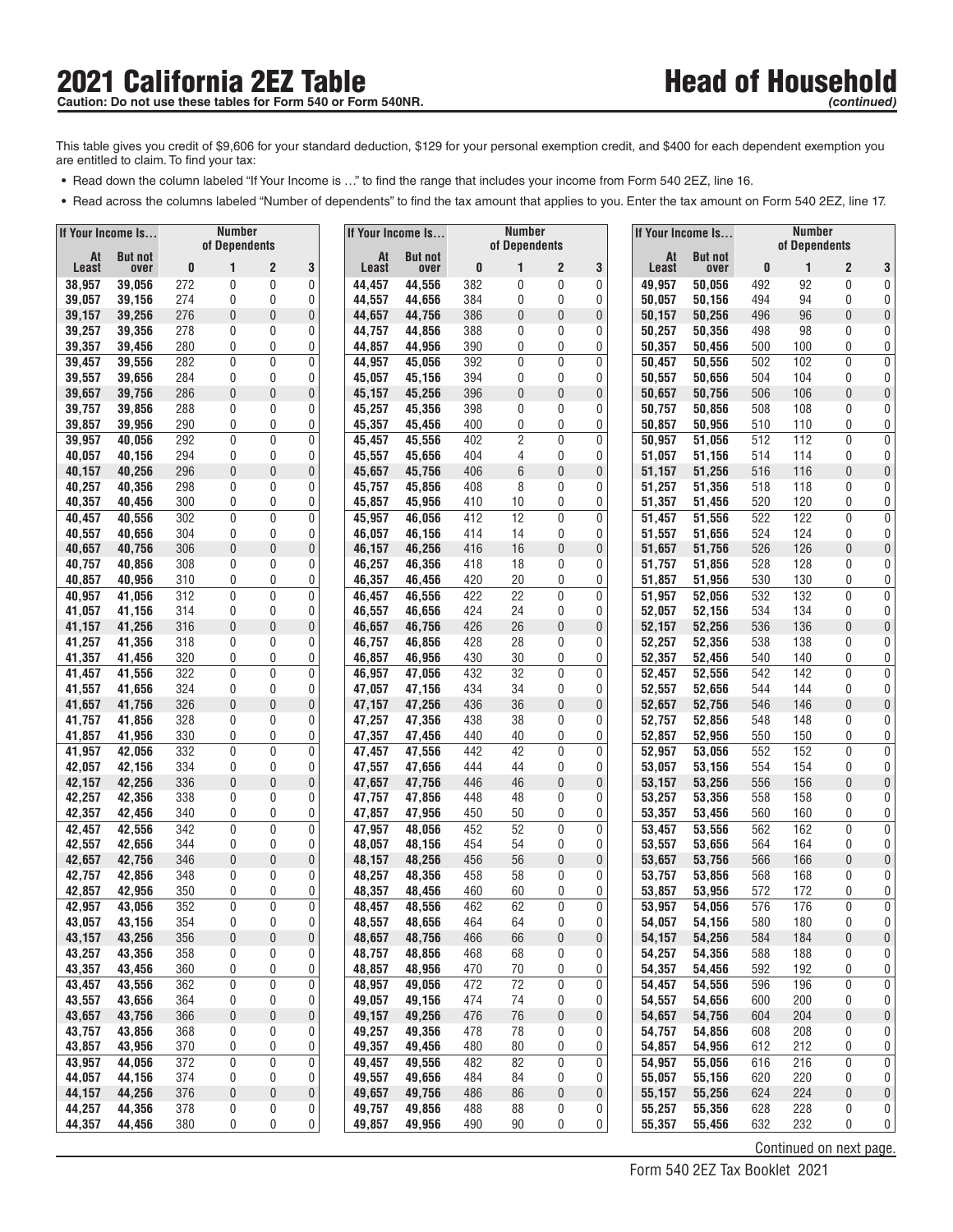This table gives you credit of \$9,606 for your standard deduction, \$129 for your personal exemption credit, and \$400 for each dependent exemption you are entitled to claim. To find your tax:

- **•** Read down the column labeled "If Your Income is ..." to find the range that includes your income from Form 540 2EZ, line 16.
- Read across the columns labeled "Number of dependents" to find the tax amount that applies to you. Enter the tax amount on Form 540 2EZ, line 17.

| If Your Income Is |                  | <b>Number</b><br>of Dependents |                |              |                | If Your Income Is |                  | <b>Number</b> |                     |        | If Your Income Is |                  |                  | <b>Number</b> |                         |                   |                                  |
|-------------------|------------------|--------------------------------|----------------|--------------|----------------|-------------------|------------------|---------------|---------------------|--------|-------------------|------------------|------------------|---------------|-------------------------|-------------------|----------------------------------|
| At                | <b>But not</b>   |                                |                |              |                | At                | <b>But not</b>   |               | of Dependents       |        |                   | At               | <b>But not</b>   |               | of Dependents           |                   |                                  |
| Least             | over             | 0<br>272                       | 1              | 2            | 3              | Least             | over             | 0<br>382      | 1                   | 2      | 3                 | Least            | over             | 0             | 1                       | 2                 | 3                                |
| 38,957<br>39,057  | 39,056<br>39,156 | 274                            | 0<br>0         | 0<br>0       | 0<br>0         | 44,457<br>44,557  | 44,556<br>44,656 | 384           | 0<br>0              | 0<br>0 | 0<br>0            | 49,957<br>50,057 | 50,056<br>50,156 | 492<br>494    | 92<br>94                | 0<br>0            | 0<br>0                           |
| 39,157            | 39,256           | 276                            | 0              | 0            | 0              | 44,657            | 44,756           | 386           | 0                   | 0      | 0                 | 50,157           | 50,256           | 496           | 96                      | $\theta$          | 0                                |
| 39,257            | 39,356           | 278                            | 0              | 0            | 0              | 44,757            | 44,856           | 388           | 0                   | 0      | 0                 | 50,257           | 50,356           | 498           | 98                      | 0                 | 0                                |
| 39,357            | 39,456           | 280                            | 0              | 0            | 0              | 44,857            | 44,956           | 390           | 0                   | 0      | 0                 | 50,357           | 50,456           | 500           | 100                     | 0                 | 0 <sup>1</sup>                   |
| 39,457            | 39,556           | 282                            | 0              | 0            | 0              | 44,957            | 45,056           | 392           | 0                   | 0      | 0                 | 50,457           | 50,556           | 502           | 102                     | 0                 | 0                                |
| 39,557            | 39,656           | 284                            | 0              | 0            | 0              | 45,057            | 45,156           | 394           | 0                   | 0      | 0                 | 50,557           | 50,656           | 504           | 104                     | 0                 | 0                                |
| 39,657            | 39,756           | 286                            | 0              | 0            | 0              | 45,157            | 45,256           | 396           | 0                   | 0      | 0                 | 50,657           | 50,756           | 506           | 106                     | $\theta$          | 0                                |
| 39,757            | 39,856           | 288                            | 0              | 0<br>0       | 0<br>0         | 45,257            | 45,356           | 398           | 0                   | 0<br>0 | 0                 | 50,757           | 50,856           | 508           | 108                     | 0<br>0            | 0<br>0                           |
| 39,857<br>39,957  | 39,956<br>40.056 | 290<br>292                     | 0<br>0         | 0            | $\mathbf 0$    | 45,357<br>45,457  | 45,456<br>45,556 | 400<br>402    | 0<br>$\overline{2}$ | 0      | 0<br>0            | 50,857<br>50,957 | 50,956<br>51.056 | 510<br>512    | 110<br>112              | $\mathbf 0$       | 0                                |
| 40,057            | 40,156           | 294                            | 0              | 0            | 0              | 45,557            | 45,656           | 404           | 4                   | 0      | 0                 | 51,057           | 51,156           | 514           | 114                     | 0                 | 0                                |
| 40,157            | 40,256           | 296                            | 0              | 0            | 0              | 45,657            | 45,756           | 406           | 6                   | 0      | 0                 | 51,157           | 51,256           | 516           | 116                     | 0                 | 0                                |
| 40,257            | 40,356           | 298                            | 0              | 0            | 0              | 45,757            | 45,856           | 408           | 8                   | 0      | 0                 | 51,257           | 51,356           | 518           | 118                     | 0                 | 0                                |
| 40,357            | 40,456           | 300                            | 0              | 0            | 0              | 45,857            | 45,956           | 410           | 10                  | 0      | 0                 | 51,357           | 51,456           | 520           | 120                     | 0                 | $\vert 0 \vert$                  |
| 40,457            | 40,556           | 302                            | 0              | 0            | $\mathbf 0$    | 45,957            | 46,056           | 412           | 12                  | 0      | 0                 | 51,457           | 51,556           | 522           | 122                     | $\mathbf{0}$      | 0                                |
| 40,557            | 40,656           | 304                            | 0              | 0            | 0              | 46,057            | 46,156           | 414           | 14                  | 0      | 0                 | 51,557           | 51,656           | 524           | 124                     | 0                 | 0 <sup>1</sup>                   |
| 40,657            | 40,756           | 306                            | 0              | $\mathbf{0}$ | $\bf{0}$       | 46.157            | 46,256           | 416           | 16                  | 0      | 0                 | 51,657           | 51,756           | 526           | 126                     | 0                 | 0                                |
| 40,757<br>40,857  | 40,856<br>40.956 | 308<br>310                     | 0<br>0         | 0<br>0       | 0<br>0         | 46,257<br>46,357  | 46,356<br>46,456 | 418<br>420    | 18<br>20            | 0<br>0 | 0<br>0            | 51,757<br>51,857 | 51,856<br>51,956 | 528<br>530    | 128<br>130              | 0<br>0            | 0<br>$\overline{0}$              |
| 40,957            | 41,056           | 312                            | 0              | 0            | 0              | 46,457            | 46,556           | 422           | 22                  | 0      | 0                 | 51,957           | 52,056           | 532           | 132                     | 0                 | 0                                |
| 41,057            | 41,156           | 314                            | 0              | 0            | 0              | 46,557            | 46,656           | 424           | 24                  | 0      | 0                 | 52,057           | 52.156           | 534           | 134                     | 0                 | 0                                |
| 41,157            | 41,256           | 316                            | 0              | 0            | 0              | 46,657            | 46,756           | 426           | 26                  | 0      | 0                 | 52,157           | 52,256           | 536           | 136                     | $\theta$          | 0                                |
| 41,257            | 41,356           | 318                            | 0              | 0            | 0              | 46,757            | 46,856           | 428           | 28                  | 0      | 0                 | 52,257           | 52,356           | 538           | 138                     | 0                 | 0                                |
| 41,357            | 41,456           | 320                            | 0              | 0            | 0              | 46,857            | 46,956           | 430           | 30                  | 0      | 0                 | 52,357           | 52,456           | 540           | 140                     | 0                 | 0                                |
| 41,457            | 41,556           | 322                            | 0              | 0            | $\bf{0}$       | 46,957            | 47,056           | 432           | 32                  | 0      | 0                 | 52,457           | 52,556           | 542           | 142                     | $\mathbf 0$       | 0                                |
| 41,557            | 41,656           | 324                            | 0              | 0            | 0              | 47,057            | 47,156           | 434           | 34                  | 0      | 0                 | 52,557           | 52,656           | 544           | 144                     | 0                 | 0                                |
| 41,657<br>41,757  | 41,756<br>41,856 | 326<br>328                     | 0<br>0         | 0<br>0       | 0<br>0         | 47,157<br>47,257  | 47,256<br>47,356 | 436<br>438    | 36<br>38            | 0<br>0 | 0<br>0            | 52,657<br>52,757 | 52,756<br>52,856 | 546<br>548    | 146<br>148              | 0<br>0            | 0<br>0                           |
| 41,857            | 41,956           | 330                            | 0              | 0            | 0              | 47,357            | 47,456           | 440           | 40                  | 0      | 0                 | 52,857           | 52,956           | 550           | 150                     | 0                 | $\overline{0}$                   |
| 41,957            | 42,056           | 332                            | 0              | 0            | $\mathbf 0$    | 47,457            | 47,556           | 442           | 42                  | 0      | 0                 | 52,957           | 53,056           | 552           | 152                     | 0                 | 0                                |
| 42,057            | 42,156           | 334                            | 0              | 0            | 0              | 47,557            | 47,656           | 444           | 44                  | 0      | 0                 | 53,057           | 53,156           | 554           | 154                     | 0                 | 0                                |
| 42,157            | 42,256           | 336                            | $\overline{0}$ | 0            | 0              | 47,657            | 47,756           | 446           | 46                  | 0      | 0                 | 53,157           | 53,256           | 556           | 156                     | $\theta$          | 0                                |
| 42,257            | 42,356           | 338                            | 0              | 0            | 0              | 47,757            | 47,856           | 448           | 48                  | 0      | 0                 | 53,257           | 53,356           | 558           | 158                     | 0                 | 0                                |
| 42,357            | 42,456           | 340                            | 0              | 0            | 0              | 47,857            | 47,956           | 450           | 50                  | 0      | 0                 | 53,357           | 53,456           | 560           | 160                     | 0                 | $\overline{0}$                   |
| 42,457<br>42,557  | 42,556           | 342<br>344                     | 0<br>0         | 0<br>0       | 0<br>0         | 47,957<br>48,057  | 48,056           | 452<br>454    | 52<br>54            | 0<br>0 | 0<br>0            | 53,457<br>53,557 | 53,556           | 562           | 162<br>164              | $\mathbf{0}$<br>0 | 0 <sup>1</sup><br>0              |
| 42,657            | 42,656<br>42,756 | 346                            | 0              | $\mathbf 0$  | 0              | 48,157            | 48,156<br>48,256 | 456           | 56                  | 0      | 0                 | 53,657           | 53,656<br>53,756 | 564<br>566    | 166                     | $\theta$          | 0                                |
| 42,757            | 42,856           | 348                            | 0              | $\mathbf{0}$ | 0              | 48,257            | 48,356           | 458           | 58                  | 0      | 0                 | 53,757           | 53,856           | 568           | 168                     | 0                 | 0                                |
| 42,857            | 42,956           | 350                            | 0              | 0            | 0              | 48,357            | 48,456           | 460           | 60                  | 0      | 0                 | 53,857           | 53,956           | 572           | 172                     | 0                 | 0                                |
| 42,957            | 43,056           | 352                            | 0              | $\mathbf{0}$ | $\mathbf 0$    | 48,457            | 48,556           | 462           | 62                  | 0      | 0                 | 53.957           | 54.056           | 576           | 176                     | 0                 | $\overline{0}$                   |
| 43,057            | 43,156           | 354                            | 0              | 0            | 0              | 48,557            | 48,656           | 464           | 64                  | 0      | 0                 | 54,057           | 54,156           | 580           | 180                     | 0                 | $\overline{0}$                   |
| 43,157            | 43,256           | 356                            | 0              | 0            | 0              | 48,657            | 48,756           | 466           | 66                  | 0      | 0                 | 54,157           | 54,256           | 584           | 184                     | $\pmb{0}$         | 0                                |
| 43,257            | 43,356           | 358                            | 0              | 0            | 0              | 48,757            | 48,856           | 468           | 68                  | 0      | 0                 | 54,257           | 54,356           | 588           | 188                     | 0                 | $\overline{0}$                   |
| 43,357<br>43,457  | 43,456<br>43,556 | 360<br>362                     | 0<br>0         | 0<br>0       | 0<br>$\pmb{0}$ | 48,857<br>48,957  | 48,956<br>49,056 | 470<br>472    | 70<br>72            | 0<br>0 | 0<br>0            | 54,357<br>54,457 | 54,456<br>54,556 | 592<br>596    | 192<br>196              | 0<br>0            | $\overline{0}$<br>0              |
| 43,557            | 43,656           | 364                            | 0              | 0            | 0              | 49,057            | 49,156           | 474           | 74                  | 0      | 0                 | 54,557           | 54,656           | 600           | 200                     | 0                 | $\overline{0}$                   |
| 43,657            | 43,756           | 366                            | 0              | 0            | $\bf{0}$       | 49,157            | 49,256           | 476           | 76                  | 0      | 0                 | 54,657           | 54,756           | 604           | 204                     | $\pmb{0}$         | $\overline{0}$                   |
| 43,757            | 43,856           | 368                            | 0              | 0            | 0              | 49,257            | 49,356           | 478           | 78                  | 0      | 0                 | 54,757           | 54,856           | 608           | 208                     | 0                 | 0                                |
| 43,857            | 43,956           | 370                            | 0              | 0            | 0              | 49,357            | 49,456           | 480           | 80                  | 0      | 0                 | 54,857           | 54,956           | 612           | 212                     | 0                 | $\vert 0 \vert$                  |
| 43,957            | 44,056           | 372                            | 0              | 0            | 0              | 49,457            | 49,556           | 482           | 82                  | 0      | 0                 | 54,957           | 55,056           | 616           | 216                     | 0                 | $\overline{0}$                   |
| 44,057            | 44,156           | 374                            | 0              | 0            | 0              | 49,557            | 49,656           | 484           | 84                  | 0      | 0                 | 55,057           | 55,156           | 620           | 220                     | 0                 | 0                                |
| 44,157            | 44,256           | 376                            | 0              | 0            | 0              | 49,657            | 49,756           | 486           | 86                  | 0      | 0                 | 55,157           | 55,256           | 624           | 224                     | $\pmb{0}$         | $\mathbf 0$                      |
| 44,257<br>44,357  | 44,356<br>44,456 | 378<br>380                     | 0<br>0         | 0<br>0       | 0<br>0         | 49,757<br>49,857  | 49,856<br>49,956 | 488<br>490    | 88<br>90            | 0<br>0 | 0<br>0            | 55,257<br>55,357 | 55,356<br>55,456 | 628<br>632    | 228<br>232              | 0<br>0            | $\overline{0}$<br>$\overline{0}$ |
|                   |                  |                                |                |              |                |                   |                  |               |                     |        |                   |                  |                  |               | Continued on next page. |                   |                                  |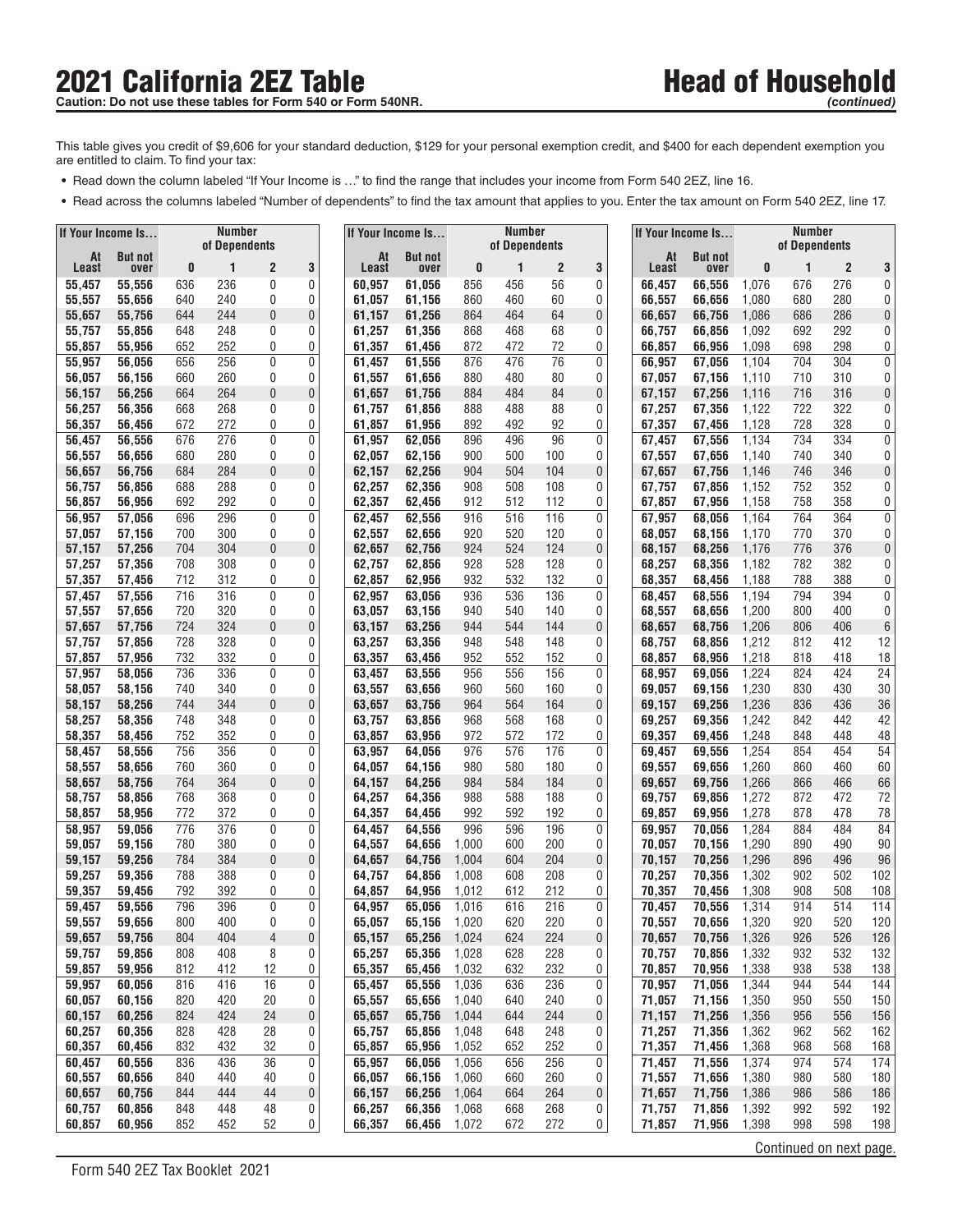This table gives you credit of \$9,606 for your standard deduction, \$129 for your personal exemption credit, and \$400 for each dependent exemption you are entitled to claim. To find your tax:

- **•** Read down the column labeled "If Your Income is ..." to find the range that includes your income from Form 540 2EZ, line 16.
- Read across the columns labeled "Number of dependents" to find the tax amount that applies to you. Enter the tax amount on Form 540 2EZ, line 17.

| <b>Number</b><br>If Your Income Is<br>of Dependents |                  |            |            | If Your Income Is |           | <b>Number</b><br>of Dependents |                  |                | If Your Income Is |                      |             | <b>Number</b><br>of Dependents |                  |                |                         |                       |                     |
|-----------------------------------------------------|------------------|------------|------------|-------------------|-----------|--------------------------------|------------------|----------------|-------------------|----------------------|-------------|--------------------------------|------------------|----------------|-------------------------|-----------------------|---------------------|
| At                                                  | <b>But not</b>   |            |            |                   |           | At                             | <b>But not</b>   |                |                   |                      |             | At                             | <b>But not</b>   |                |                         |                       |                     |
| Least<br>55,457                                     | over<br>55,556   | 0<br>636   | 1<br>236   | 2<br>0            | 3<br>0    | Least<br>60,957                | over<br>61,056   | 0<br>856       | 1<br>456          | $\overline{c}$<br>56 | 3<br>0      | Least<br>66,457                | over<br>66,556   | 0<br>1,076     | 1<br>676                | $\overline{2}$<br>276 | 3<br>0              |
| 55,557                                              | 55,656           | 640        | 240        | 0                 | 0         | 61,057                         | 61.156           | 860            | 460               | 60                   | 0           | 66,557                         | 66.656           | 1,080          | 680                     | 280                   | 0                   |
| 55,657                                              | 55,756           | 644        | 244        | 0                 | 0         | 61,157                         | 61,256           | 864            | 464               | 64                   | $\pmb{0}$   | 66,657                         | 66,756           | 1,086          | 686                     | 286                   | 0                   |
| 55,757                                              | 55,856           | 648        | 248        | 0                 | 0         | 61,257                         | 61,356           | 868            | 468               | 68                   | 0           | 66,757                         | 66,856           | 1,092          | 692                     | 292                   | 0                   |
| 55,857                                              | 55,956           | 652        | 252        | 0                 | 0         | 61,357                         | 61,456           | 872            | 472               | 72                   | 0           | 66,857                         | 66,956           | 1,098          | 698                     | 298                   | 0 <sup>1</sup>      |
| 55,957                                              | 56,056           | 656        | 256        | 0                 | 0         | 61,457                         | 61,556           | 876            | 476               | 76                   | 0           | 66,957                         | 67,056           | 1,104          | 704                     | 304                   | 0                   |
| 56,057                                              | 56,156           | 660        | 260        | 0                 | 0         | 61,557                         | 61,656           | 880            | 480               | 80                   | 0           | 67,057                         | 67,156           | 1,110          | 710                     | 310                   | 0                   |
| 56,157<br>56,257                                    | 56,256<br>56,356 | 664<br>668 | 264<br>268 | 0<br>0            | 0<br>0    | 61,657<br>61,757               | 61,756<br>61,856 | 884<br>888     | 484<br>488        | 84<br>88             | 0<br>0      | 67,157<br>67,257               | 67,256<br>67,356 | 1,116<br>1,122 | 716<br>722              | 316<br>322            | 0<br>0              |
| 56,357                                              | 56,456           | 672        | 272        | 0                 | 0         | 61,857                         | 61,956           | 892            | 492               | 92                   | 0           | 67,357                         | 67,456           | 1,128          | 728                     | 328                   | 0                   |
| 56,457                                              | 56,556           | 676        | 276        | 0                 | 0         | 61.957                         | 62.056           | 896            | 496               | 96                   | 0           | 67,457                         | 67,556           | 1,134          | 734                     | 334                   | 0                   |
| 56,557                                              | 56,656           | 680        | 280        | 0                 | 0         | 62,057                         | 62,156           | 900            | 500               | 100                  | 0           | 67,557                         | 67,656           | 1,140          | 740                     | 340                   | 0                   |
| 56,657                                              | 56,756           | 684        | 284        | 0                 | 0         | 62,157                         | 62,256           | 904            | 504               | 104                  | 0           | 67,657                         | 67,756           | 1,146          | 746                     | 346                   | 0                   |
| 56,757                                              | 56,856           | 688        | 288        | 0                 | 0         | 62,257                         | 62,356           | 908            | 508               | 108                  | 0           | 67,757                         | 67,856           | 1,152          | 752                     | 352                   | 0                   |
| 56,857                                              | 56,956           | 692        | 292        | 0                 | 0         | 62,357                         | 62,456           | 912            | 512               | 112                  | 0           | 67,857                         | 67,956           | 1,158          | 758                     | 358                   | $\overline{0}$      |
| 56,957<br>57,057                                    | 57,056<br>57,156 | 696<br>700 | 296<br>300 | 0<br>0            | 0<br>0    | 62,457<br>62,557               | 62,556<br>62,656 | 916<br>920     | 516<br>520        | 116<br>120           | 0<br>0      | 67,957<br>68,057               | 68,056<br>68.156 | 1,164<br>1,170 | 764<br>770              | 364<br>370            | 0<br>0 <sup>1</sup> |
| 57,157                                              | 57,256           | 704        | 304        | 0                 | $\pmb{0}$ | 62,657                         | 62,756           | 924            | 524               | 124                  | $\pmb{0}$   | 68,157                         | 68,256           | 1,176          | 776                     | 376                   | 0                   |
| 57,257                                              | 57,356           | 708        | 308        | 0                 | 0         | 62,757                         | 62,856           | 928            | 528               | 128                  | 0           | 68,257                         | 68,356           | 1,182          | 782                     | 382                   | 0                   |
| 57,357                                              | 57,456           | 712        | 312        | 0                 | 0         | 62,857                         | 62,956           | 932            | 532               | 132                  | 0           | 68,357                         | 68,456           | 1,188          | 788                     | 388                   | $\overline{0}$      |
| 57,457                                              | 57,556           | 716        | 316        | 0                 | 0         | 62,957                         | 63,056           | 936            | 536               | 136                  | 0           | 68,457                         | 68,556           | 1,194          | 794                     | 394                   | 0                   |
| 57,557                                              | 57,656           | 720        | 320        | 0                 | 0         | 63,057                         | 63,156           | 940            | 540               | 140                  | 0           | 68,557                         | 68,656           | 1,200          | 800                     | 400                   | 0                   |
| 57,657                                              | 57,756           | 724        | 324        | 0                 | 0         | 63,157                         | 63,256           | 944            | 544               | 144                  | $\mathbf 0$ | 68,657                         | 68,756           | 1,206          | 806                     | 406                   | 6                   |
| 57,757                                              | 57,856           | 728        | 328<br>332 | 0                 | 0<br>0    | 63,257                         | 63,356           | 948            | 548               | 148                  | 0           | 68,757                         | 68,856           | 1,212          | 812                     | 412                   | 12                  |
| 57,857<br>57,957                                    | 57,956<br>58,056 | 732<br>736 | 336        | 0<br>0            | 0         | 63,357<br>63,457               | 63,456<br>63,556 | 952<br>956     | 552<br>556        | 152<br>156           | 0<br>0      | 68,857<br>68,957               | 68,956<br>69,056 | 1,218<br>1,224 | 818<br>824              | 418<br>424            | 18<br>24            |
| 58,057                                              | 58,156           | 740        | 340        | 0                 | 0         | 63,557                         | 63,656           | 960            | 560               | 160                  | 0           | 69,057                         | 69,156           | 1,230          | 830                     | 430                   | 30                  |
| 58,157                                              | 58,256           | 744        | 344        | 0                 | 0         | 63,657                         | 63,756           | 964            | 564               | 164                  | 0           | 69,157                         | 69,256           | 1,236          | 836                     | 436                   | 36                  |
| 58,257                                              | 58,356           | 748        | 348        | 0                 | 0         | 63,757                         | 63,856           | 968            | 568               | 168                  | 0           | 69,257                         | 69,356           | 1,242          | 842                     | 442                   | 42                  |
| 58,357                                              | 58,456           | 752        | 352        | 0                 | 0         | 63,857                         | 63,956           | 972            | 572               | 172                  | 0           | 69,357                         | 69,456           | 1,248          | 848                     | 448                   | 48                  |
| 58,457                                              | 58,556           | 756        | 356        | 0                 | 0         | 63,957                         | 64,056           | 976            | 576               | 176                  | 0           | 69,457                         | 69,556           | 1,254          | 854                     | 454                   | 54                  |
| 58,557                                              | 58,656           | 760        | 360        | 0                 | 0         | 64,057                         | 64,156           | 980            | 580               | 180                  | 0           | 69,557                         | 69,656           | 1,260          | 860                     | 460                   | 60                  |
| 58,657<br>58,757                                    | 58,756<br>58,856 | 764<br>768 | 364<br>368 | 0<br>0            | 0<br>0    | 64,157<br>64,257               | 64,256<br>64,356 | 984<br>988     | 584<br>588        | 184<br>188           | 0<br>0      | 69,657<br>69,757               | 69,756<br>69,856 | 1,266<br>1,272 | 866<br>872              | 466<br>472            | 66<br>72            |
| 58,857                                              | 58,956           | 772        | 372        | 0                 | 0         | 64,357                         | 64,456           | 992            | 592               | 192                  | 0           | 69,857                         | 69,956           | 1,278          | 878                     | 478                   | 78                  |
| 58,957                                              | 59.056           | 776        | 376        | 0                 | 0         | 64,457                         | 64,556           | 996            | 596               | 196                  | 0           | 69,957                         | 70,056           | 1,284          | 884                     | 484                   | 84                  |
| 59,057                                              | 59,156           | 780        | 380        | 0                 | 0         | 64,557                         | 64,656           | 1,000          | 600               | 200                  | 0           | 70,057                         | 70,156           | 1,290          | 890                     | 490                   | 90                  |
| 59,157                                              | 59,256           | 784        | 384        | 0                 | 0         | 64,657                         | 64,756           | 1,004          | 604               | 204                  | $\pmb{0}$   | 70,157                         | 70,256           | 1,296          | 896                     | 496                   | 96                  |
| 59,257                                              | 59,356           | 788        | 388        | 0                 | 0         | 64,757                         | 64,856           | 1,008          | 608               | 208                  | 0           | 70,257                         | 70,356           | 1,302          | 902                     | 502                   | 102                 |
| 59,357                                              | 59,456           | 792        | 392        | 0<br>0            | 0<br>0    | 64,857                         | 64,956           | 1,012          | 612<br>616        | 212                  | 0<br>0      | 70,357                         | 70.456           | 1,308          | 908                     | 508<br>514            | 108                 |
| 59.457<br>59,557                                    | 59,556<br>59,656 | 796<br>800 | 396<br>400 | 0                 | 0         | 64,957<br>65,057               | 65,056<br>65,156 | 1,016<br>1,020 | 620               | 216<br>220           | 0           | 70,457<br>70,557               | 70,556<br>70,656 | 1,314<br>1,320 | 914<br>920              | 520                   | 114<br>120          |
| 59,657                                              | 59,756           | 804        | 404        | 4                 | 0         | 65,157                         | 65,256           | 1,024          | 624               | 224                  | 0           | 70,657                         | 70,756           | 1,326          | 926                     | 526                   | 126                 |
| 59,757                                              | 59,856           | 808        | 408        | 8                 | 0         | 65,257                         | 65,356           | 1,028          | 628               | 228                  | 0           | 70,757                         | 70,856           | 1,332          | 932                     | 532                   | 132                 |
| 59,857                                              | 59,956           | 812        | 412        | 12                | 0         | 65,357                         | 65,456           | 1,032          | 632               | 232                  | 0           | 70,857                         | 70,956           | 1,338          | 938                     | 538                   | 138                 |
| 59,957                                              | 60,056           | 816        | 416        | 16                | 0         | 65,457                         | 65,556           | 1,036          | 636               | 236                  | 0           | 70,957                         | 71,056           | 1,344          | 944                     | 544                   | 144                 |
| 60,057                                              | 60,156           | 820        | 420        | 20                | 0         | 65,557                         | 65,656           | 1,040          | 640               | 240                  | 0           | 71,057                         | 71,156           | 1,350          | 950                     | 550                   | 150                 |
| 60,157                                              | 60,256           | 824        | 424        | 24                | 0         | 65,657                         | 65,756           | 1,044          | 644               | 244                  | 0           | 71,157                         | 71,256           | 1,356          | 956                     | 556                   | 156                 |
| 60,257<br>60,357                                    | 60,356<br>60,456 | 828<br>832 | 428<br>432 | 28<br>32          | 0<br>0    | 65,757<br>65,857               | 65,856<br>65,956 | 1,048<br>1,052 | 648<br>652        | 248<br>252           | 0<br>0      | 71,257<br>71,357               | 71,356<br>71,456 | 1,362<br>1,368 | 962<br>968              | 562<br>568            | 162<br>168          |
| 60,457                                              | 60,556           | 836        | 436        | 36                | 0         | 65,957                         | 66,056           | 1,056          | 656               | 256                  | 0           | 71,457                         | 71,556           | 1,374          | 974                     | 574                   | 174                 |
| 60,557                                              | 60,656           | 840        | 440        | 40                | 0         | 66,057                         | 66,156           | 1,060          | 660               | 260                  | 0           | 71,557                         | 71,656           | 1,380          | 980                     | 580                   | 180                 |
| 60,657                                              | 60,756           | 844        | 444        | 44                | 0         | 66,157                         | 66,256           | 1,064          | 664               | 264                  | 0           | 71,657                         | 71,756           | 1,386          | 986                     | 586                   | 186                 |
| 60,757                                              | 60,856           | 848        | 448        | 48                | 0         | 66,257                         | 66,356           | 1,068          | 668               | 268                  | 0           | 71,757                         | 71,856           | 1,392          | 992                     | 592                   | 192                 |
| 60,857                                              | 60,956           | 852        | 452        | 52                | 0         | 66,357                         | 66,456           | 1,072          | 672               | 272                  | 0           | 71,857                         | 71,956           | 1,398          | 998                     | 598                   | 198                 |
|                                                     |                  |            |            |                   |           |                                |                  |                |                   |                      |             |                                |                  |                | Continued on next page. |                       |                     |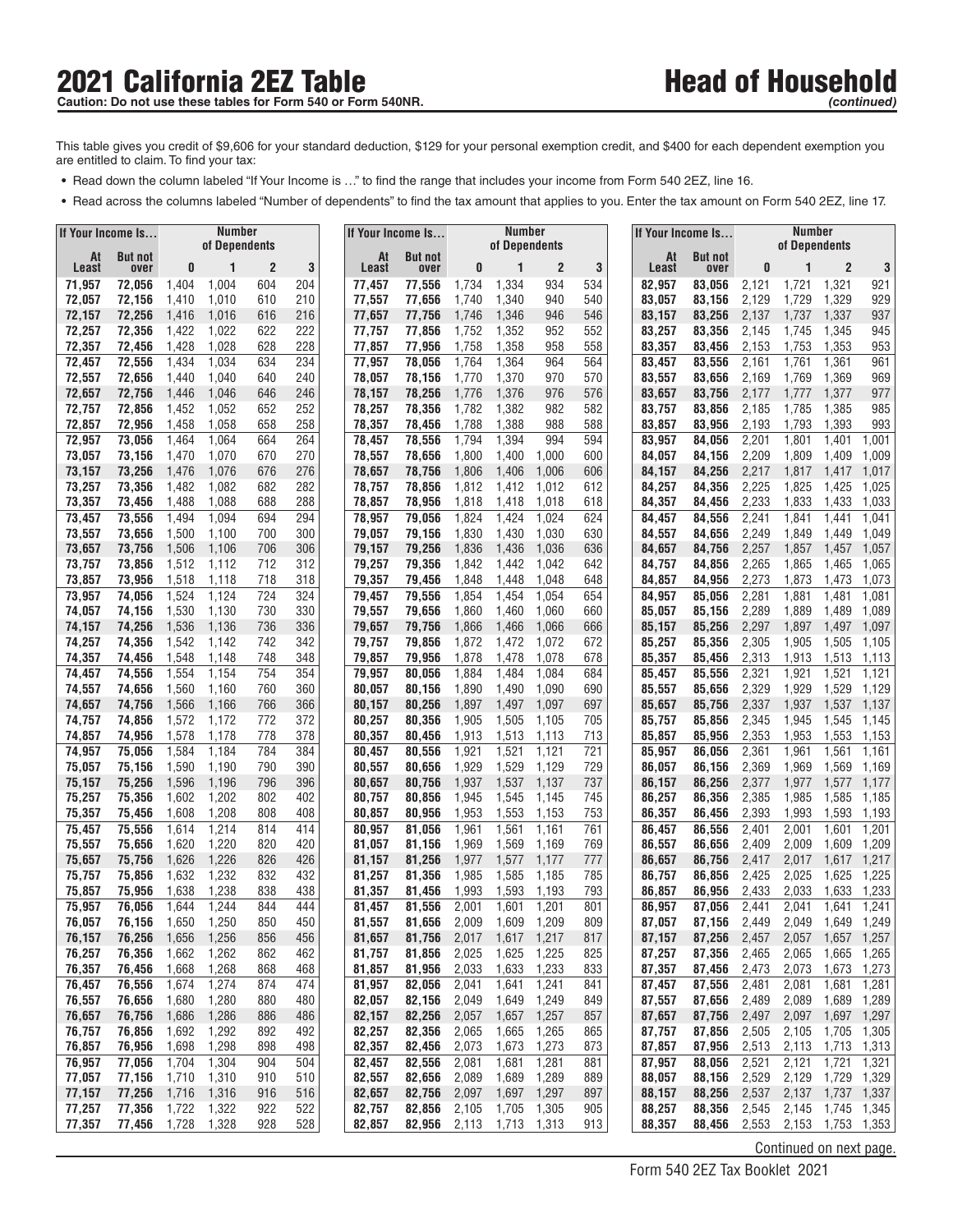## 2021 California 2EZ Table<br>
Caution: Do not use these tables for Form 540 or Form 540NR.<br>
Caution: Do not use these tables for Form 540 or Form 540NR. Caution: Do not use these tables for Form 540 or Form 540NR.

This table gives you credit of \$9,606 for your standard deduction, \$129 for your personal exemption credit, and \$400 for each dependent exemption you are entitled to claim. To find your tax:

- **•** Read down the column labeled "If Your Income is ..." to find the range that includes your income from Form 540 2EZ, line 16.
- Read across the columns labeled "Number of dependents" to find the tax amount that applies to you. Enter the tax amount on Form 540 2EZ, line 17.

| If Your Income Is |                  |                | <b>Number</b>  |                       |                |                  | If Your Income Is |                | Number<br>of Dependents |                       |            |                  | If Your Income Is |                | <b>Number</b><br>of Dependents |                         |                      |
|-------------------|------------------|----------------|----------------|-----------------------|----------------|------------------|-------------------|----------------|-------------------------|-----------------------|------------|------------------|-------------------|----------------|--------------------------------|-------------------------|----------------------|
| At                | <b>But not</b>   | of Dependents  |                | At                    | <b>But not</b> |                  |                   |                |                         | At                    | But not    |                  |                   |                |                                |                         |                      |
| Least             | over             | 0              | 1<br>1,004     | $\overline{2}$<br>604 | 3<br>204       | Least            | over              | 0              | 1                       | $\overline{c}$<br>934 | 3<br>534   | Least            | over              | 0              |                                | $\overline{2}$<br>1,321 | 3<br>921             |
| 71,957<br>72,057  | 72,056<br>72,156 | 1,404<br>1,410 | 1,010          | 610                   | 210            | 77,457<br>77,557 | 77,556<br>77,656  | 1,734<br>1,740 | 1,334<br>1,340          | 940                   | 540        | 82,957<br>83,057 | 83,056<br>83,156  | 2,121<br>2,129 | 1,721<br>1,729                 | 1,329                   | 929                  |
| 72,157            | 72,256           | 1,416          | 1,016          | 616                   | 216            | 77,657           | 77,756            | 1,746          | 1,346                   | 946                   | 546        | 83.157           | 83,256            | 2,137          | 1,737                          | 1,337                   | 937                  |
| 72,257            | 72,356           | 1,422          | 1,022          | 622                   | 222            | 77,757           | 77,856            | 1,752          | 1,352                   | 952                   | 552        | 83,257           | 83,356            | 2,145          | 1,745                          | 1,345                   | 945                  |
| 72,357            | 72,456           | 1,428          | 1,028          | 628                   | 228            | 77,857           | 77,956            | 1,758          | 1,358                   | 958                   | 558        | 83,357           | 83,456            | 2,153          | 1,753                          | 1,353                   | 953                  |
| 72,457            | 72,556           | 1,434          | 1,034          | 634                   | 234            | 77,957           | 78,056            | 1,764          | 1,364                   | 964                   | 564        | 83,457           | 83,556            | 2,161          | 1,761                          | 1,361                   | 961                  |
| 72,557            | 72,656           | 1,440          | 1,040          | 640                   | 240            | 78,057           | 78,156            | 1,770          | 1,370                   | 970                   | 570        | 83,557           | 83,656            | 2,169          | 1,769                          | 1,369                   | 969                  |
| 72,657            | 72,756           | 1,446          | 1,046          | 646                   | 246            | 78,157<br>78,257 | 78,256            | 1,776          | 1,376                   | 976<br>982            | 576        | 83,657           | 83,756<br>83.856  | 2,177          | 1,777<br>1,785                 | 1,377                   | 977<br>985           |
| 72,757<br>72,857  | 72,856<br>72,956 | 1,452<br>1,458 | 1,052<br>1,058 | 652<br>658            | 252<br>258     | 78,357           | 78,356<br>78,456  | 1,782<br>1,788 | 1,382<br>1,388          | 988                   | 582<br>588 | 83,757<br>83,857 | 83,956            | 2,185<br>2,193 | 1,793                          | 1,385<br>1,393          | 993                  |
| 72,957            | 73,056           | 1,464          | 1,064          | 664                   | 264            | 78,457           | 78,556            | 1,794          | 1,394                   | 994                   | 594        | 83,957           | 84,056            | 2,201          | 1,801                          | 1,401                   | 1,001                |
| 73,057            | 73,156           | 1,470          | 1,070          | 670                   | 270            | 78,557           | 78,656            | 1,800          | 1,400                   | 1,000                 | 600        | 84,057           | 84,156            | 2,209          | 1,809                          | 1,409                   | 1,009                |
| 73,157            | 73,256           | 1,476          | 1,076          | 676                   | 276            | 78,657           | 78,756            | 1,806          | 1,406                   | 1,006                 | 606        | 84,157           | 84,256            | 2,217          | 1,817                          | 1,417                   | 1,017                |
| 73,257            | 73,356           | 1,482          | 1,082          | 682                   | 282            | 78,757           | 78,856            | 1,812          | 1,412                   | 1,012                 | 612        | 84,257           | 84,356            | 2,225          | 1,825                          | 1,425                   | 1,025                |
| 73,357            | 73,456           | 1,488          | 1,088          | 688                   | 288            | 78,857           | 78,956            | 1,818          | 1,418                   | 1,018                 | 618        | 84,357           | 84,456            | 2,233          | 1,833                          | 1,433                   | 1,033                |
| 73,457<br>73,557  | 73,556<br>73,656 | 1,494<br>1,500 | 1,094<br>1,100 | 694<br>700            | 294<br>300     | 78,957<br>79,057 | 79,056<br>79,156  | 1,824<br>1,830 | 1,424<br>1,430          | 1,024<br>1,030        | 624<br>630 | 84,457<br>84,557 | 84,556<br>84,656  | 2,241<br>2,249 | 1,841<br>1,849                 | 1,441<br>1,449          | 1,041<br>1,049       |
| 73,657            | 73,756           | 1,506          | 1,106          | 706                   | 306            | 79,157           | 79,256            | 1,836          | 1,436                   | 1,036                 | 636        | 84,657           | 84.756            | 2,257          | 1,857                          | 1,457                   | 1,057                |
| 73,757            | 73,856           | 1,512          | 1,112          | 712                   | 312            | 79,257           | 79,356            | 1,842          | 1,442                   | 1,042                 | 642        | 84,757           | 84,856            | 2,265          | 1,865                          | 1,465                   | 1,065                |
| 73,857            | 73,956           | 1,518          | 1,118          | 718                   | 318            | 79,357           | 79,456            | 1,848          | 1,448                   | 1,048                 | 648        | 84,857           | 84,956            | 2,273          | 1,873                          | 1,473                   | 1,073                |
| 73,957            | 74,056           | 1,524          | 1,124          | 724                   | 324            | 79,457           | 79,556            | 1,854          | 1,454                   | 1,054                 | 654        | 84,957           | 85,056            | 2,281          | 1,881                          | 1,481                   | 1,081                |
| 74,057            | 74,156           | 1,530          | 1,130          | 730                   | 330            | 79,557           | 79,656            | 1,860          | 1,460                   | 1,060                 | 660        | 85,057           | 85,156            | 2,289          | 1,889                          | 1,489                   | 1,089                |
| 74,157            | 74,256           | 1,536          | 1,136          | 736                   | 336            | 79,657           | 79,756            | 1,866          | 1,466                   | 1,066                 | 666        | 85,157           | 85,256            | 2,297          | 1,897                          | 1,497                   | 1,097                |
| 74,257<br>74,357  | 74,356<br>74,456 | 1,542<br>1,548 | 1,142<br>1,148 | 742<br>748            | 342<br>348     | 79,757<br>79,857 | 79,856<br>79,956  | 1,872<br>1,878 | 1,472<br>1,478          | 1,072<br>1,078        | 672<br>678 | 85,257<br>85,357 | 85.356<br>85,456  | 2,305<br>2,313 | 1,905<br>1,913                 | 1,505<br>1,513          | 1,105<br>1,113       |
| 74,457            | 74,556           | 1,554          | 1,154          | 754                   | 354            | 79,957           | 80,056            | 1,884          | 1,484                   | 1.084                 | 684        | 85,457           | 85,556            | 2,321          | 1,921                          | 1,521                   | 1,121                |
| 74,557            | 74,656           | 1,560          | 1,160          | 760                   | 360            | 80,057           | 80,156            | 1,890          | 1,490                   | 1,090                 | 690        | 85,557           | 85,656            | 2,329          | 1,929                          | 1,529                   | 1,129                |
| 74,657            | 74,756           | 1,566          | 1,166          | 766                   | 366            | 80,157           | 80,256            | 1,897          | 1,497                   | 1,097                 | 697        | 85,657           | 85,756            | 2,337          | 1,937                          | 1,537                   | 1,137                |
| 74,757            | 74,856           | 1,572          | 1,172          | 772                   | 372            | 80,257           | 80,356            | 1,905          | 1,505                   | 1,105                 | 705        | 85,757           | 85,856            | 2,345          | 1,945                          | 1,545                   | 1,145                |
| 74,857            | 74,956           | 1,578          | 1,178          | 778                   | 378            | 80,357           | 80,456            | 1,913          | 1,513                   | 1,113                 | 713        | 85,857           | 85,956            | 2,353          | 1,953                          | 1,553                   | 1,153                |
| 74,957            | 75,056           | 1,584          | 1,184          | 784                   | 384            | 80,457           | 80,556            | 1,921          | 1,521                   | 1,121                 | 721        | 85,957           | 86,056            | 2,361          | 1,961                          | 1,561                   | 1,161                |
| 75,057<br>75,157  | 75,156<br>75,256 | 1,590<br>1,596 | 1,190<br>1,196 | 790<br>796            | 390<br>396     | 80,557<br>80,657 | 80,656<br>80,756  | 1,929<br>1,937 | 1,529<br>1,537          | 1,129<br>1,137        | 729<br>737 | 86,057<br>86,157 | 86,156<br>86,256  | 2,369<br>2,377 | 1,969<br>1,977                 | 1,569<br>1,577          | 1,169<br>1,177       |
| 75,257            | 75,356           | 1,602          | 1,202          | 802                   | 402            | 80,757           | 80,856            | 1,945          | 1,545                   | 1,145                 | 745        | 86,257           | 86,356            | 2,385          | 1,985                          | 1,585                   | 1,185                |
| 75,357            | 75,456           | 1,608          | 1,208          | 808                   | 408            | 80,857           | 80,956            | 1,953          | 1,553                   | 1,153                 | 753        | 86,357           | 86,456            | 2,393          | 1,993                          | 1,593                   | 1,193                |
| 75,457            | 75,556           | 1,614          | 1,214          | 814                   | 414            | 80,957           | 81,056            | 1,961          | 1,561                   | 1,161                 | 761        | 86,457           | 86.556            | 2,401          | 2,001                          | 1,601                   | 1,201                |
| 75,557            | 75,656           | 1,620          | 1,220          | 820                   | 420            | 81,057           | 81,156            | 1,969          | 1,569                   | 1,169                 | 769        | 86,557           | 86,656            | 2,409          | 2,009                          | 1,609                   | 1,209                |
| 75,657            | 75,756           | 1,626          | 1,226          | 826                   | 426            | 81,157           | 81,256            | 1,977          | 1,577                   | 1,177                 | 777        | 86,657           | 86,756            | 2,417          | 2,017                          | 1,617                   | 1,217                |
| 75.757<br>75,857  | 75,856<br>75,956 | 1,632<br>1,638 | 1,232<br>1,238 | 832<br>838            | 432<br>438     | 81,257<br>81,357 | 81.356<br>81,456  | 1,985<br>1,993 | 1,585<br>1,593          | 1,185<br>1,193        | 785<br>793 | 86,757<br>86,857 | 86.856            | 2,425<br>2,433 | 2,025<br>2,033                 | 1,625<br>1,633          | 1,225<br>1,233       |
| 75,957            | 76,056           | 1,644          | 1,244          | 844                   | 444            | 81,457           | 81,556            | 2,001          | 1,601                   | 1,201                 | 801        | 86,957           | 86,956<br>87,056  | 2,441          | 2,041                          | 1,641                   | 1,241                |
| 76,057            | 76,156           | 1,650          | 1,250          | 850                   | 450            | 81,557           | 81,656            | 2,009          | 1,609                   | 1,209                 | 809        | 87,057           | 87,156            | 2,449          | 2,049                          |                         | 1,649 1,249          |
| 76,157            | 76,256           | 1,656          | 1,256          | 856                   | 456            | 81,657           | 81,756            | 2,017          | 1,617                   | 1,217                 | 817        | 87,157           | 87,256            | 2,457          | 2,057                          | 1,657                   | 1,257                |
| 76,257            | 76,356           | 1,662          | 1,262          | 862                   | 462            | 81,757           | 81,856            | 2,025          | 1,625                   | 1,225                 | 825        | 87,257           | 87,356            | 2,465          | 2,065                          | 1,665                   | 1,265                |
| 76,357            | 76,456           | 1,668          | 1,268          | 868                   | 468            | 81,857           | 81,956            | 2,033          | 1,633                   | 1,233                 | 833        | 87,357           | 87,456            | 2,473          | 2,073                          | 1,673                   | 1,273                |
| 76,457            | 76,556           | 1,674          | 1,274          | 874                   | 474            | 81,957           | 82,056            | 2,041          | 1,641                   | 1,241                 | 841        | 87,457           | 87,556            | 2,481          | 2,081                          | 1,681                   | 1,281                |
| 76,557<br>76,657  | 76,656<br>76,756 | 1,680          | 1,280<br>1,286 | 880                   | 480            | 82,057<br>82,157 | 82,156            | 2,049          | 1,649                   | 1,249<br>1,257        | 849        | 87,557<br>87,657 | 87,656<br>87,756  | 2,489          | 2,089<br>2,097                 | 1,689                   | 1,289<br>1,697 1,297 |
| 76,757            | 76,856           | 1,686<br>1,692 | 1,292          | 886<br>892            | 486<br>492     | 82,257           | 82,256<br>82,356  | 2,057<br>2,065 | 1,657<br>1,665          | 1,265                 | 857<br>865 | 87,757           | 87,856            | 2,497<br>2,505 | 2,105                          | 1,705                   | 1,305                |
| 76,857            | 76,956           | 1,698          | 1,298          | 898                   | 498            | 82,357           | 82,456            | 2,073          | 1,673                   | 1,273                 | 873        | 87,857           | 87,956            | 2,513          | 2,113                          | 1,713                   | 1,313                |
| 76,957            | 77,056           | 1,704          | 1,304          | 904                   | 504            | 82,457           | 82,556            | 2,081          | 1,681                   | 1,281                 | 881        | 87,957           | 88,056            | 2,521          | 2,121                          | 1,721                   | 1,321                |
| 77,057            | 77,156           | 1,710          | 1,310          | 910                   | 510            | 82,557           | 82,656            | 2,089          | 1,689                   | 1,289                 | 889        | 88,057           | 88,156            | 2,529          | 2,129                          | 1,729                   | 1,329                |
| 77,157            | 77,256           | 1,716          | 1,316          | 916                   | 516            | 82,657           | 82,756            | 2,097          | 1,697                   | 1,297                 | 897        | 88,157           | 88,256            | 2,537          | 2,137                          | 1,737                   | 1,337                |
| 77,257            | 77,356           | 1,722          | 1,322          | 922                   | 522            | 82,757           | 82,856            | 2,105          | 1,705                   | 1,305                 | 905        | 88,257           | 88,356            | 2,545          |                                |                         | 2,145 1,745 1,345    |
| 77,357            | 77,456           | 1,728          | 1,328          | 928                   | 528            | 82,857           | 82,956            | 2,113          | 1,713                   | 1,313                 | 913        | 88,357           | 88,456            | 2,553          |                                |                         | 2,153 1,753 1,353    |
|                   |                  |                |                |                       |                |                  |                   |                |                         |                       |            |                  |                   |                | Continued on next page.        |                         |                      |